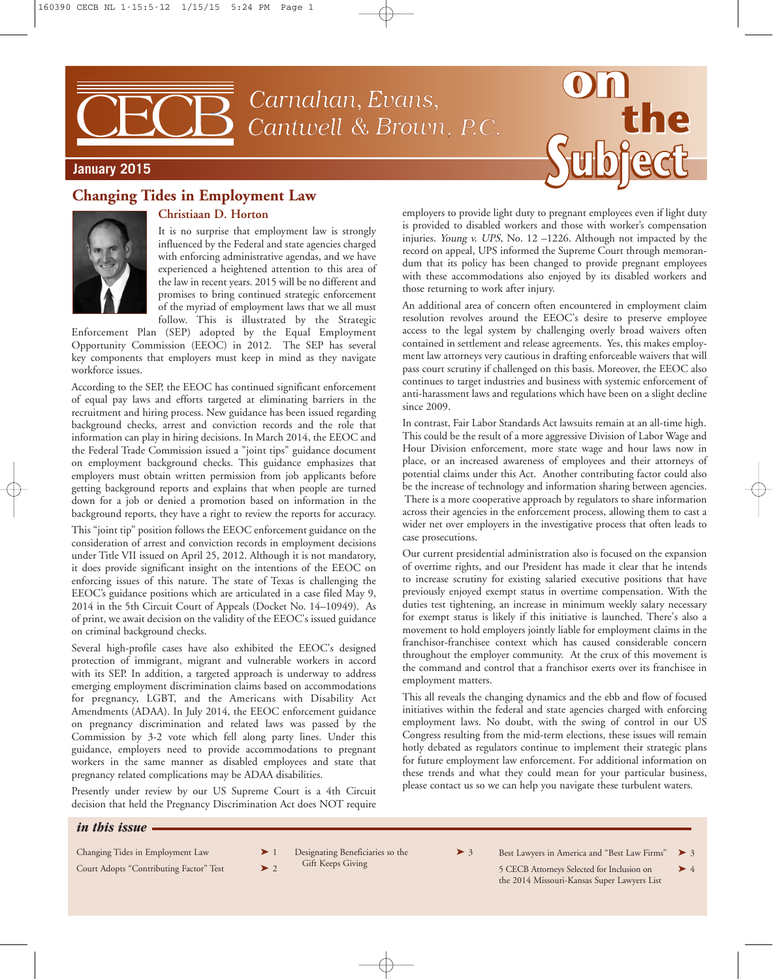Carnahan, Evans, Cantwell & Brown, P.C.



#### **January 2015**

# **Changing Tides in Employment Law**



#### **Christiaan D. Horton**

It is no surprise that employment law is strongly influenced by the Federal and state agencies charged with enforcing administrative agendas, and we have experienced a heightened attention to this area of the law in recent years. 2015 will be no different and promises to bring continued strategic enforcement of the myriad of employment laws that we all must

follow. This is illustrated by the Strategic Enforcement Plan (SEP) adopted by the Equal Employment Opportunity Commission (EEOC) in 2012. The SEP has several key components that employers must keep in mind as they navigate workforce issues.

According to the SEP, the EEOC has continued significant enforcement of equal pay laws and efforts targeted at eliminating barriers in the recruitment and hiring process. New guidance has been issued regarding background checks, arrest and conviction records and the role that information can play in hiring decisions. In March 2014, the EEOC and the Federal Trade Commission issued a "joint tips" guidance document on employment background checks. This guidance emphasizes that employers must obtain written permission from job applicants before getting background reports and explains that when people are turned down for a job or denied a promotion based on information in the background reports, they have a right to review the reports for accuracy.

This "joint tip" position follows the EEOC enforcement guidance on the consideration of arrest and conviction records in employment decisions under Title VII issued on April 25, 2012. Although it is not mandatory, it does provide significant insight on the intentions of the EEOC on enforcing issues of this nature. The state of Texas is challenging the EEOC's guidance positions which are articulated in a case filed May 9, 2014 in the 5th Circuit Court of Appeals (Docket No. 14–10949). As of print, we await decision on the validity of the EEOC's issued guidance on criminal background checks.

Several high-profile cases have also exhibited the EEOC's designed protection of immigrant, migrant and vulnerable workers in accord with its SEP. In addition, a targeted approach is underway to address emerging employment discrimination claims based on accommodations for pregnancy, LGBT, and the Americans with Disability Act Amendments (ADAA). In July 2014, the EEOC enforcement guidance on pregnancy discrimination and related laws was passed by the Commission by 3-2 vote which fell along party lines. Under this guidance, employers need to provide accommodations to pregnant workers in the same manner as disabled employees and state that pregnancy related complications may be ADAA disabilities.

Presently under review by our US Supreme Court is a 4th Circuit decision that held the Pregnancy Discrimination Act does NOT require

employers to provide light duty to pregnant employees even if light duty is provided to disabled workers and those with worker's compensation injuries. Young v. UPS, No. 12 –1226. Although not impacted by the record on appeal, UPS informed the Supreme Court through memorandum that its policy has been changed to provide pregnant employees with these accommodations also enjoyed by its disabled workers and those returning to work after injury.

An additional area of concern often encountered in employment claim resolution revolves around the EEOC's desire to preserve employee access to the legal system by challenging overly broad waivers often contained in settlement and release agreements. Yes, this makes employment law attorneys very cautious in drafting enforceable waivers that will pass court scrutiny if challenged on this basis. Moreover, the EEOC also continues to target industries and business with systemic enforcement of anti-harassment laws and regulations which have been on a slight decline since 2009.

In contrast, Fair Labor Standards Act lawsuits remain at an all-time high. This could be the result of a more aggressive Division of Labor Wage and Hour Division enforcement, more state wage and hour laws now in place, or an increased awareness of employees and their attorneys of potential claims under this Act. Another contributing factor could also be the increase of technology and information sharing between agencies. There is a more cooperative approach by regulators to share information across their agencies in the enforcement process, allowing them to cast a wider net over employers in the investigative process that often leads to case prosecutions.

Our current presidential administration also is focused on the expansion of overtime rights, and our President has made it clear that he intends to increase scrutiny for existing salaried executive positions that have previously enjoyed exempt status in overtime compensation. With the duties test tightening, an increase in minimum weekly salary necessary for exempt status is likely if this initiative is launched. There's also a movement to hold employers jointly liable for employment claims in the franchisor-franchisee context which has caused considerable concern throughout the employer community. At the crux of this movement is the command and control that a franchisor exerts over its franchisee in employment matters.

This all reveals the changing dynamics and the ebb and flow of focused initiatives within the federal and state agencies charged with enforcing employment laws. No doubt, with the swing of control in our US Congress resulting from the mid-term elections, these issues will remain hotly debated as regulators continue to implement their strategic plans for future employment law enforcement. For additional information on these trends and what they could mean for your particular business, please contact us so we can help you navigate these turbulent waters.

#### *in this issue*

- Changing Tides in Employment Law  $\blacktriangleright$  1
- Court Adopts "Contributing Factor" Test  $> 2$
- Designating Beneficiaries so the  $\rightarrow$  3
- Gift Keeps Giving

Best Lawyers in America and "Best Law Firms" ▶ 3

5 CECB Attorneys Selected for Inclusion on  $\triangleright$  4 the 2014 Missouri-Kansas Super Lawyers List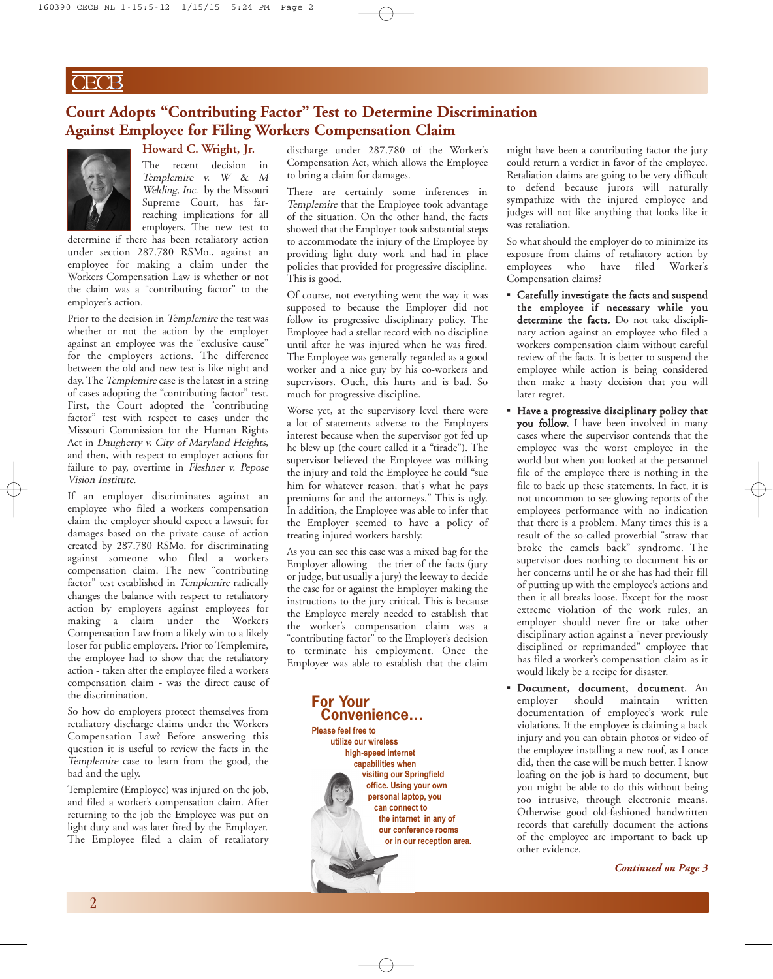# **Court Adopts "Contributing Factor" Test to Determine Discrimination Against Employee for Filing Workers Compensation Claim**



### **Howard C. Wright, Jr.**

The recent decision in Templemire v. <sup>W</sup> & <sup>M</sup> Welding, Inc. by the Missouri Supreme Court, has farreaching implications for all employers. The new test to

determine if there has been retaliatory action under section 287.780 RSMo., against an employee for making a claim under the Workers Compensation Law is whether or not the claim was a "contributing factor" to the employer's action.

Prior to the decision in Templemire the test was whether or not the action by the employer against an employee was the "exclusive cause" for the employers actions. The difference between the old and new test is like night and day. The Templemire case is the latest in a string of cases adopting the "contributing factor" test. First, the Court adopted the "contributing factor" test with respect to cases under the Missouri Commission for the Human Rights Act in Daugherty v. City of Maryland Heights, and then, with respect to employer actions for failure to pay, overtime in Fleshner v. Pepose Vision Institute.

If an employer discriminates against an employee who filed a workers compensation claim the employer should expect a lawsuit for damages based on the private cause of action created by 287.780 RSMo. for discriminating against someone who filed a workers compensation claim. The new "contributing factor" test established in Templemire radically changes the balance with respect to retaliatory action by employers against employees for making a claim under the Workers Compensation Law from a likely win to a likely loser for public employers. Prior to Templemire, the employee had to show that the retaliatory action - taken after the employee filed a workers compensation claim - was the direct cause of the discrimination.

So how do employers protect themselves from retaliatory discharge claims under the Workers Compensation Law? Before answering this question it is useful to review the facts in the Templemire case to learn from the good, the bad and the ugly.

Templemire (Employee) was injured on the job, and filed a worker's compensation claim. After returning to the job the Employee was put on light duty and was later fired by the Employer. The Employee filed a claim of retaliatory

discharge under 287.780 of the Worker's Compensation Act, which allows the Employee to bring a claim for damages.

There are certainly some inferences in Templemire that the Employee took advantage of the situation. On the other hand, the facts showed that the Employer took substantial steps to accommodate the injury of the Employee by providing light duty work and had in place policies that provided for progressive discipline. This is good.

Of course, not everything went the way it was supposed to because the Employer did not follow its progressive disciplinary policy. The Employee had a stellar record with no discipline until after he was injured when he was fired. The Employee was generally regarded as a good worker and a nice guy by his co-workers and supervisors. Ouch, this hurts and is bad. So much for progressive discipline.

Worse yet, at the supervisory level there were a lot of statements adverse to the Employers interest because when the supervisor got fed up he blew up (the court called it a "tirade"). The supervisor believed the Employee was milking the injury and told the Employee he could "sue him for whatever reason, that's what he pays premiums for and the attorneys." This is ugly. In addition, the Employee was able to infer that the Employer seemed to have a policy of treating injured workers harshly.

As you can see this case was a mixed bag for the Employer allowing the trier of the facts (jury or judge, but usually a jury) the leeway to decide the case for or against the Employer making the instructions to the jury critical. This is because the Employee merely needed to establish that the worker's compensation claim was a "contributing factor" to the Employer's decision to terminate his employment. Once the Employee was able to establish that the claim



might have been a contributing factor the jury could return a verdict in favor of the employee. Retaliation claims are going to be very difficult to defend because jurors will naturally sympathize with the injured employee and judges will not like anything that looks like it was retaliation.

So what should the employer do to minimize its exposure from claims of retaliatory action by employees who have filed Worker's Compensation claims?

- *▪* Carefully investigate the facts and suspend the employee if necessary while you determine the facts. Do not take disciplinary action against an employee who filed a workers compensation claim without careful review of the facts. It is better to suspend the employee while action is being considered then make a hasty decision that you will later regret.
- *▪* Have a progressive disciplinary policy that you follow. I have been involved in many cases where the supervisor contends that the employee was the worst employee in the world but when you looked at the personnel file of the employee there is nothing in the file to back up these statements. In fact, it is not uncommon to see glowing reports of the employees performance with no indication that there is a problem. Many times this is a result of the so-called proverbial "straw that broke the camels back" syndrome. The supervisor does nothing to document his or her concerns until he or she has had their fill of putting up with the employee's actions and then it all breaks loose. Except for the most extreme violation of the work rules, an employer should never fire or take other disciplinary action against a "never previously disciplined or reprimanded" employee that has filed a worker's compensation claim as it would likely be a recipe for disaster.
- *▪* Document, document, document. An employer should maintain written documentation of employee's work rule violations. If the employee is claiming a back injury and you can obtain photos or video of the employee installing a new roof, as I once did, then the case will be much better. I know loafing on the job is hard to document, but you might be able to do this without being too intrusive, through electronic means. Otherwise good old-fashioned handwritten records that carefully document the actions of the employee are important to back up other evidence.

*Continued on Page 3*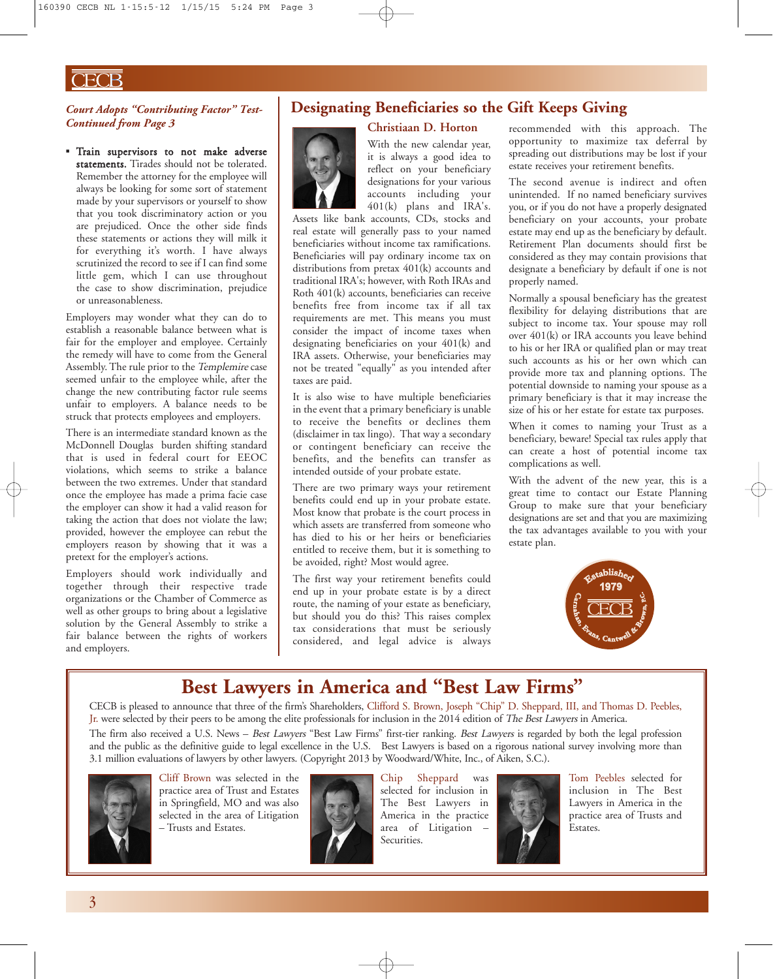# $\overline{\text{ECB}}$

#### *Court Adopts "Contributing Factor" Test-Continued from Page 3*

*▪* Train supervisors to not make adverse statements. Tirades should not be tolerated. Remember the attorney for the employee will always be looking for some sort of statement made by your supervisors or yourself to show that you took discriminatory action or you are prejudiced. Once the other side finds these statements or actions they will milk it for everything it's worth. I have always scrutinized the record to see if I can find some little gem, which I can use throughout the case to show discrimination, prejudice or unreasonableness.

Employers may wonder what they can do to establish a reasonable balance between what is fair for the employer and employee. Certainly the remedy will have to come from the General Assembly. The rule prior to the Templemire case seemed unfair to the employee while, after the change the new contributing factor rule seems unfair to employers. A balance needs to be struck that protects employees and employers.

There is an intermediate standard known as the McDonnell Douglas burden shifting standard that is used in federal court for EEOC violations, which seems to strike a balance between the two extremes. Under that standard once the employee has made a prima facie case the employer can show it had a valid reason for taking the action that does not violate the law; provided, however the employee can rebut the employers reason by showing that it was a pretext for the employer's actions.

Employers should work individually and together through their respective trade organizations or the Chamber of Commerce as well as other groups to bring about a legislative solution by the General Assembly to strike a fair balance between the rights of workers and employers.

### **Designating Beneficiaries so the Gift Keeps Giving**



### **Christiaan D. Horton**

With the new calendar year, it is always a good idea to reflect on your beneficiary designations for your various accounts including your 401(k) plans and IRA's.

Assets like bank accounts, CDs, stocks and real estate will generally pass to your named beneficiaries without income tax ramifications. Beneficiaries will pay ordinary income tax on distributions from pretax 401(k) accounts and traditional IRA's; however, with Roth IRAs and Roth 401(k) accounts, beneficiaries can receive benefits free from income tax if all tax requirements are met. This means you must consider the impact of income taxes when designating beneficiaries on your 401(k) and IRA assets. Otherwise, your beneficiaries may not be treated "equally" as you intended after taxes are paid.

It is also wise to have multiple beneficiaries in the event that a primary beneficiary is unable to receive the benefits or declines them (disclaimer in tax lingo). That way a secondary or contingent beneficiary can receive the benefits, and the benefits can transfer as intended outside of your probate estate.

There are two primary ways your retirement benefits could end up in your probate estate. Most know that probate is the court process in which assets are transferred from someone who has died to his or her heirs or beneficiaries entitled to receive them, but it is something to be avoided, right? Most would agree.

The first way your retirement benefits could end up in your probate estate is by a direct route, the naming of your estate as beneficiary, but should you do this? This raises complex tax considerations that must be seriously considered, and legal advice is always

recommended with this approach. The opportunity to maximize tax deferral by spreading out distributions may be lost if your estate receives your retirement benefits.

The second avenue is indirect and often unintended. If no named beneficiary survives you, or if you do not have a properly designated beneficiary on your accounts, your probate estate may end up as the beneficiary by default. Retirement Plan documents should first be considered as they may contain provisions that designate a beneficiary by default if one is not properly named.

Normally a spousal beneficiary has the greatest flexibility for delaying distributions that are subject to income tax. Your spouse may roll over 401(k) or IRA accounts you leave behind to his or her IRA or qualified plan or may treat such accounts as his or her own which can provide more tax and planning options. The potential downside to naming your spouse as a primary beneficiary is that it may increase the size of his or her estate for estate tax purposes.

When it comes to naming your Trust as a beneficiary, beware! Special tax rules apply that can create a host of potential income tax complications as well.

With the advent of the new year, this is a great time to contact our Estate Planning Group to make sure that your beneficiary designations are set and that you are maximizing the tax advantages available to you with your estate plan.



# **Best Lawyers in America and "Best Law Firms"**

CECB is pleased to announce that three of the firm's Shareholders, Clifford S. Brown, Joseph "Chip" D. Sheppard, III, and Thomas D. Peebles, Jr. were selected by their peers to be among the elite professionals for inclusion in the 2014 edition of The Best Lawyers in America.

The firm also received a U.S. News - Best Lawyers "Best Law Firms" first-tier ranking. Best Lawyers is regarded by both the legal profession and the public as the definitive guide to legal excellence in the U.S. Best Lawyers is based on a rigorous national survey involving more than 3.1 million evaluations of lawyers by other lawyers. (Copyright 2013 by Woodward/White, Inc., of Aiken, S.C.).



Cliff Brown was selected in the practice area of Trust and Estates in Springfield, MO and was also selected in the area of Litigation – Trusts and Estates.



Chip Sheppard was selected for inclusion in The Best Lawyers in America in the practice area of Litigation – Securities.



Tom Peebles selected for inclusion in The Best Lawyers in America in the practice area of Trusts and Estates.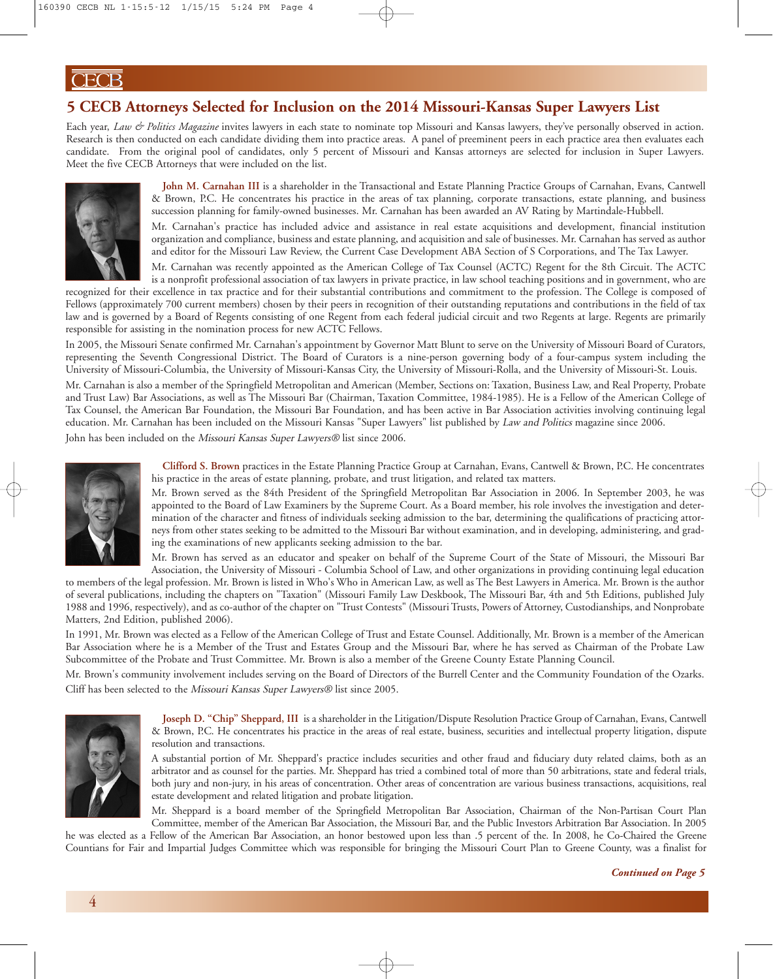# **5 CECB Attorneys Selected for Inclusion on the 2014 Missouri-Kansas Super Lawyers List**

Each year, *Law & Politics Magazine* invites lawyers in each state to nominate top Missouri and Kansas lawyers, they've personally observed in action. Research is then conducted on each candidate dividing them into practice areas. A panel of preeminent peers in each practice area then evaluates each candidate. From the original pool of candidates, only 5 percent of Missouri and Kansas attorneys are selected for inclusion in Super Lawyers. Meet the five CECB Attorneys that were included on the list.



**John M. Carnahan III** is a shareholder in the Transactional and Estate Planning Practice Groups of Carnahan, Evans, Cantwell & Brown, P.C. He concentrates his practice in the areas of tax planning, corporate transactions, estate planning, and business succession planning for family-owned businesses. Mr. Carnahan has been awarded an AV Rating by Martindale-Hubbell.

Mr. Carnahan's practice has included advice and assistance in real estate acquisitions and development, financial institution organization and compliance, business and estate planning, and acquisition and sale of businesses. Mr. Carnahan has served as author and editor for the Missouri Law Review, the Current Case Development ABA Section of S Corporations, and The Tax Lawyer.

Mr. Carnahan was recently appointed as the American College of Tax Counsel (ACTC) Regent for the 8th Circuit. The ACTC is a nonprofit professional association of tax lawyers in private practice, in law school teaching positions and in government, who are

recognized for their excellence in tax practice and for their substantial contributions and commitment to the profession. The College is composed of Fellows (approximately 700 current members) chosen by their peers in recognition of their outstanding reputations and contributions in the field of tax law and is governed by a Board of Regents consisting of one Regent from each federal judicial circuit and two Regents at large. Regents are primarily responsible for assisting in the nomination process for new ACTC Fellows.

In 2005, the Missouri Senate confirmed Mr. Carnahan's appointment by Governor Matt Blunt to serve on the University of Missouri Board of Curators, representing the Seventh Congressional District. The Board of Curators is a nine-person governing body of a four-campus system including the University of Missouri-Columbia, the University of Missouri-Kansas City, the University of Missouri-Rolla, and the University of Missouri-St. Louis.

Mr. Carnahan is also a member of the Springfield Metropolitan and American (Member, Sections on: Taxation, Business Law, and Real Property, Probate and Trust Law) Bar Associations, as well as The Missouri Bar (Chairman, Taxation Committee, 1984-1985). He is a Fellow of the American College of Tax Counsel, the American Bar Foundation, the Missouri Bar Foundation, and has been active in Bar Association activities involving continuing legal education. Mr. Carnahan has been included on the Missouri Kansas "Super Lawyers" list published by Law and Politics magazine since 2006.

John has been included on the Missouri Kansas Super Lawyers® list since 2006.



**Clifford S. Brown** practices in the Estate Planning Practice Group at Carnahan, Evans, Cantwell & Brown, P.C. He concentrates his practice in the areas of estate planning, probate, and trust litigation, and related tax matters.

Mr. Brown served as the 84th President of the Springfield Metropolitan Bar Association in 2006. In September 2003, he was appointed to the Board of Law Examiners by the Supreme Court. As a Board member, his role involves the investigation and determination of the character and fitness of individuals seeking admission to the bar, determining the qualifications of practicing attorneys from other states seeking to be admitted to the Missouri Bar without examination, and in developing, administering, and grading the examinations of new applicants seeking admission to the bar.

Mr. Brown has served as an educator and speaker on behalf of the Supreme Court of the State of Missouri, the Missouri Bar Association, the University of Missouri - Columbia School of Law, and other organizations in providing continuing legal education

to members of the legal profession. Mr. Brown is listed in Who's Who in American Law, as well as The Best Lawyers in America. Mr. Brown is the author of several publications, including the chapters on "Taxation" (Missouri Family Law Deskbook, The Missouri Bar, 4th and 5th Editions, published July 1988 and 1996, respectively), and as co-author of the chapter on "Trust Contests" (Missouri Trusts, Powers of Attorney, Custodianships, and Nonprobate Matters, 2nd Edition, published 2006).

In 1991, Mr. Brown was elected as a Fellow of the American College of Trust and Estate Counsel. Additionally, Mr. Brown is a member of the American Bar Association where he is a Member of the Trust and Estates Group and the Missouri Bar, where he has served as Chairman of the Probate Law Subcommittee of the Probate and Trust Committee. Mr. Brown is also a member of the Greene County Estate Planning Council.

Mr. Brown's community involvement includes serving on the Board of Directors of the Burrell Center and the Community Foundation of the Ozarks. Cliff has been selected to the Missouri Kansas Super Lawyers® list since 2005.



**Joseph D. "Chip" Sheppard, III** is a shareholder in the Litigation/Dispute Resolution Practice Group of Carnahan, Evans, Cantwell & Brown, P.C. He concentrates his practice in the areas of real estate, business, securities and intellectual property litigation, dispute resolution and transactions.

A substantial portion of Mr. Sheppard's practice includes securities and other fraud and fiduciary duty related claims, both as an arbitrator and as counsel for the parties. Mr. Sheppard has tried a combined total of more than 50 arbitrations, state and federal trials, both jury and non-jury, in his areas of concentration. Other areas of concentration are various business transactions, acquisitions, real estate development and related litigation and probate litigation.

Mr. Sheppard is a board member of the Springfield Metropolitan Bar Association, Chairman of the Non-Partisan Court Plan

Committee, member of the American Bar Association, the Missouri Bar, and the Public Investors Arbitration Bar Association. In 2005 he was elected as a Fellow of the American Bar Association, an honor bestowed upon less than .5 percent of the. In 2008, he Co-Chaired the Greene Countians for Fair and Impartial Judges Committee which was responsible for bringing the Missouri Court Plan to Greene County, was a finalist for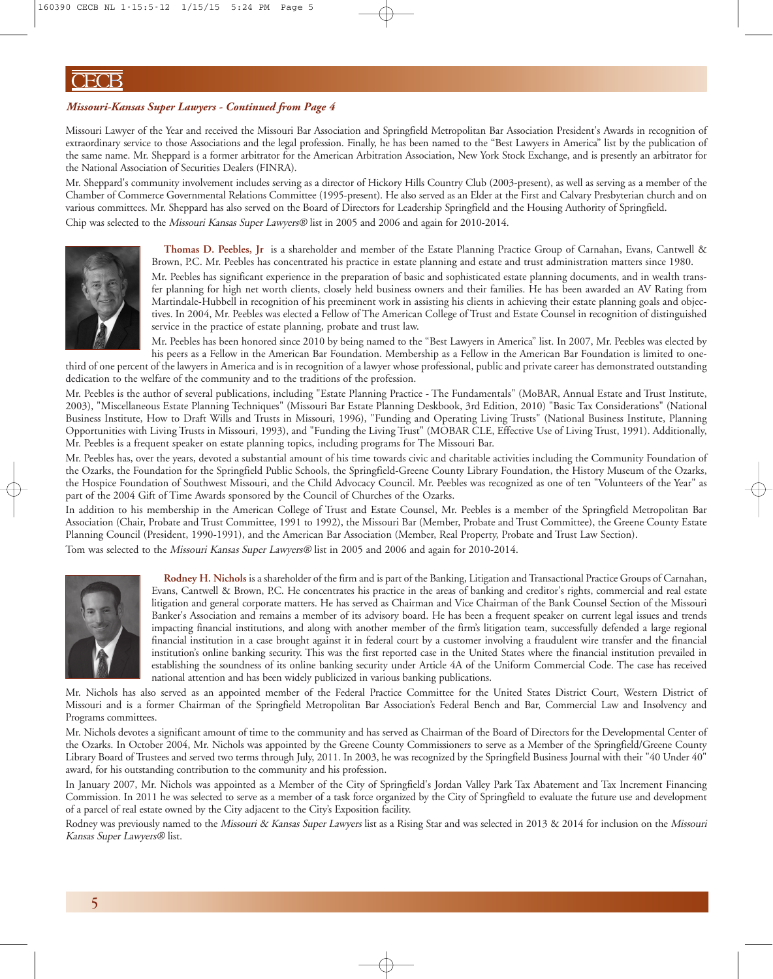#### *Missouri-Kansas Super Lawyers - Continued from Page 4*

Missouri Lawyer of the Year and received the Missouri Bar Association and Springfield Metropolitan Bar Association President's Awards in recognition of extraordinary service to those Associations and the legal profession. Finally, he has been named to the "Best Lawyers in America" list by the publication of the same name. Mr. Sheppard is a former arbitrator for the American Arbitration Association, New York Stock Exchange, and is presently an arbitrator for the National Association of Securities Dealers (FINRA).

Mr. Sheppard's community involvement includes serving as a director of Hickory Hills Country Club (2003-present), as well as serving as a member of the Chamber of Commerce Governmental Relations Committee (1995-present). He also served as an Elder at the First and Calvary Presbyterian church and on various committees. Mr. Sheppard has also served on the Board of Directors for Leadership Springfield and the Housing Authority of Springfield. Chip was selected to the Missouri Kansas Super Lawyers® list in 2005 and 2006 and again for 2010-2014.



**Thomas D. Peebles, Jr** is a shareholder and member of the Estate Planning Practice Group of Carnahan, Evans, Cantwell & Brown, P.C. Mr. Peebles has concentrated his practice in estate planning and estate and trust administration matters since 1980.

Mr. Peebles has significant experience in the preparation of basic and sophisticated estate planning documents, and in wealth transfer planning for high net worth clients, closely held business owners and their families. He has been awarded an AV Rating from Martindale-Hubbell in recognition of his preeminent work in assisting his clients in achieving their estate planning goals and objectives. In 2004, Mr. Peebles was elected a Fellow of The American College of Trust and Estate Counsel in recognition of distinguished service in the practice of estate planning, probate and trust law.

Mr. Peebles has been honored since 2010 by being named to the "Best Lawyers in America" list. In 2007, Mr. Peebles was elected by his peers as a Fellow in the American Bar Foundation. Membership as a Fellow in the American Bar Foundation is limited to onethird of one percent of the lawyers in America and is in recognition of a lawyer whose professional, public and private career has demonstrated outstanding dedication to the welfare of the community and to the traditions of the profession.

Mr. Peebles is the author of several publications, including "Estate Planning Practice - The Fundamentals" (MoBAR, Annual Estate and Trust Institute, 2003), "Miscellaneous Estate Planning Techniques" (Missouri Bar Estate Planning Deskbook, 3rd Edition, 2010) "Basic Tax Considerations" (National Business Institute, How to Draft Wills and Trusts in Missouri, 1996), "Funding and Operating Living Trusts" (National Business Institute, Planning Opportunities with Living Trusts in Missouri, 1993), and "Funding the Living Trust" (MOBAR CLE, Effective Use of Living Trust, 1991). Additionally, Mr. Peebles is a frequent speaker on estate planning topics, including programs for The Missouri Bar.

Mr. Peebles has, over the years, devoted a substantial amount of his time towards civic and charitable activities including the Community Foundation of the Ozarks, the Foundation for the Springfield Public Schools, the Springfield-Greene County Library Foundation, the History Museum of the Ozarks, the Hospice Foundation of Southwest Missouri, and the Child Advocacy Council. Mr. Peebles was recognized as one of ten "Volunteers of the Year" as part of the 2004 Gift of Time Awards sponsored by the Council of Churches of the Ozarks.

In addition to his membership in the American College of Trust and Estate Counsel, Mr. Peebles is a member of the Springfield Metropolitan Bar Association (Chair, Probate and Trust Committee, 1991 to 1992), the Missouri Bar (Member, Probate and Trust Committee), the Greene County Estate Planning Council (President, 1990-1991), and the American Bar Association (Member, Real Property, Probate and Trust Law Section). Tom was selected to the Missouri Kansas Super Lawyers® list in 2005 and 2006 and again for 2010-2014.



**Rodney H. Nichols** is a shareholder of thefirm and is part of the Banking, Litigation andTransactional Practice Groups of Carnahan, Evans, Cantwell & Brown, P.C. He concentrates his practice in the areas of banking and creditor's rights, commercial and real estate litigation and general corporate matters. He has served as Chairman and Vice Chairman of the Bank Counsel Section of the Missouri Banker's Association and remains a member of its advisory board. He has been a frequent speaker on current legal issues and trends impacting financial institutions, and along with another member of the firm's litigation team, successfully defended a large regional financial institution in a case brought against it in federal court by a customer involving a fraudulent wire transfer and the financial institution's online banking security. This was the first reported case in the United States where the financial institution prevailed in establishing the soundness of its online banking security under Article 4A of the Uniform Commercial Code. The case has received national attention and has been widely publicized in various banking publications.

Mr. Nichols has also served as an appointed member of the Federal Practice Committee for the United States District Court, Western District of Missouri and is a former Chairman of the Springfield Metropolitan Bar Association's Federal Bench and Bar, Commercial Law and Insolvency and Programs committees.

Mr. Nichols devotes a significant amount of time to the community and has served as Chairman of the Board of Directors for the Developmental Center of the Ozarks. In October 2004, Mr. Nichols was appointed by the Greene County Commissioners to serve as a Member of the Springfield/Greene County Library Board of Trustees and served two terms through July, 2011. In 2003, he was recognized by the Springfield Business Journal with their "40 Under 40" award, for his outstanding contribution to the community and his profession.

In January 2007, Mr. Nichols was appointed as a Member of the City of Springfield's Jordan Valley Park Tax Abatement and Tax Increment Financing Commission. In 2011 he was selected to serve as a member of a task force organized by the City of Springfield to evaluate the future use and development of a parcel of real estate owned by the City adjacent to the City's Exposition facility.

Rodney was previously named to the Missouri & Kansas Super Lawyers list as a Rising Star and was selected in 2013 & 2014 for inclusion on the Missouri Kansas Super Lawyers® list.